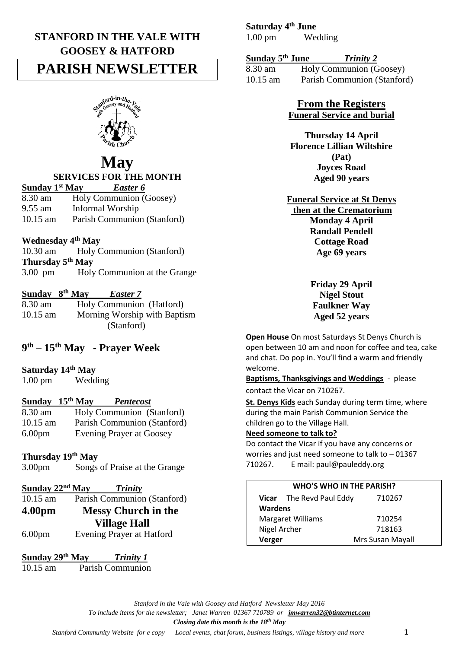## **STANFORD IN THE VALE WITH GOOSEY & HATFORD**

# **PARISH NEWSLETTER**



# **May**

## **SERVICES FOR THE MONTH**

| Sunday 1 <sup>st</sup> May | <b>Easter 6</b>             |
|----------------------------|-----------------------------|
| 8.30 am                    | Holy Communion (Goosey)     |
| $9.55$ am                  | Informal Worship            |
| $10.15$ am                 | Parish Communion (Stanford) |

## **Wednesday 4th May**

10.30 am Holy Communion (Stanford) **Thursday 5th May** 3.00 pm Holy Communion at the Grange

#### **Sunday 8th May** *Easter 7*

| 8.30 am    | Holy Communion (Hatford)     |
|------------|------------------------------|
| $10.15$ am | Morning Worship with Baptism |
|            | (Stanford)                   |

## **9 th – 15th May - Prayer Week**

## **Saturday 14th May**

1.00 pm Wedding

## **Sunday 15th May** *Pentecost*

| 8.30 am            | Holy Communion (Stanford)       |
|--------------------|---------------------------------|
| $10.15$ am         | Parish Communion (Stanford)     |
| 6.00 <sub>pm</sub> | <b>Evening Prayer at Goosey</b> |

#### **Thursday 19th May**

3.00pm Songs of Praise at the Grange

| Sunday 22 <sup>nd</sup> May |                            | <b>Trinity</b>              |
|-----------------------------|----------------------------|-----------------------------|
| $10.15$ am                  |                            | Parish Communion (Stanford) |
| 4.00 <sub>pm</sub>          | <b>Messy Church in the</b> |                             |
|                             |                            | <b>Village Hall</b>         |
| 6.00 <sub>pm</sub>          |                            | Evening Prayer at Hatford   |

#### **Sunday 29th May** *Trinity 1* 10.15 am Parish Communion

## **Saturday 4th June**

1.00 pm Wedding

#### **Sunday 5th June** *Trinity 2*

8.30 am Holy Communion (Goosey) 10.15 am Parish Communion (Stanford)

#### **From the Registers Funeral Service and burial**

**Thursday 14 April Florence Lillian Wiltshire (Pat) Joyces Road Aged 90 years** 

**Funeral Service at St Denys then at the Crematorium Monday 4 April Randall Pendell Cottage Road Age 69 years**

> **Friday 29 April Nigel Stout Faulkner Way Aged 52 years**

**Open House** On most Saturdays St Denys Church is open between 10 am and noon for coffee and tea, cake and chat. Do pop in. You'll find a warm and friendly welcome.

**Baptisms, Thanksgivings and Weddings** - please contact the Vicar on 710267.

**St. Denys Kids** each Sunday during term time, where during the main Parish Communion Service the children go to the Village Hall.

#### **Need someone to talk to?**

Do contact the Vicar if you have any concerns or worries and just need someone to talk to – 01367 710267. E mail: paul@pauleddy.org

#### **WHO'S WHO IN THE PARISH?**

|                          | <b>Vicar</b> The Revd Paul Eddy | 710267           |
|--------------------------|---------------------------------|------------------|
| Wardens                  |                                 |                  |
| <b>Margaret Williams</b> |                                 | 710254           |
| Nigel Archer             |                                 | 718163           |
| Verger                   |                                 | Mrs Susan Mayall |

*Stanford in the Vale with Goosey and Hatford Newsletter May 2016*

*To include items for the newsletter; Janet Warren 01367 710789 or [jmwarren32@btinternet.com](mailto:jmwarren32@btinternet.com)*

*Closing date this month is the 18th May*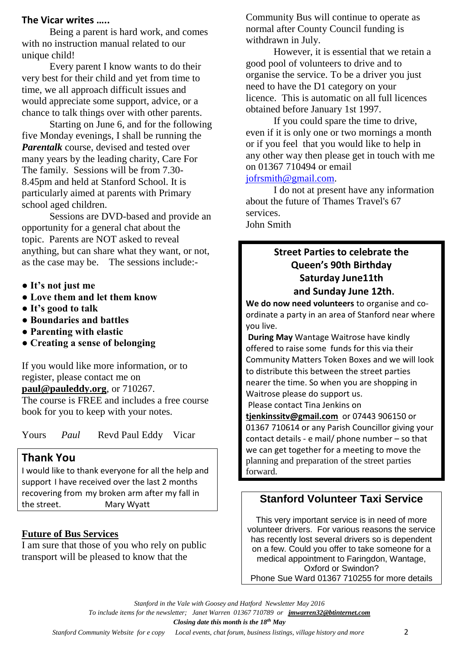## **The Vicar writes …..**

Being a parent is hard work, and comes with no instruction manual related to our unique child!

Every parent I know wants to do their very best for their child and yet from time to time, we all approach difficult issues and would appreciate some support, advice, or a chance to talk things over with other parents.

Starting on June 6, and for the following five Monday evenings, I shall be running the *Parentalk* course, devised and tested over many years by the leading charity, Care For The family. Sessions will be from 7.30- 8.45pm and held at Stanford School. It is particularly aimed at parents with Primary school aged children.

Sessions are DVD-based and provide an opportunity for a general chat about the topic. Parents are NOT asked to reveal anything, but can share what they want, or not, as the case may be. The sessions include:-

- **It's not just me**
- **Love them and let them know**
- **It's good to talk**
- **Boundaries and battles**
- **Parenting with elastic**
- **Creating a sense of belonging**

If you would like more information, or to register, please contact me on **[paul@pauleddy.org](mailto:paul@pauleddy.org)**, or 710267. The course is FREE and includes a free course book for you to keep with your notes.

Yours *Paul* Revd Paul Eddy Vicar

## **Thank You**

I would like to thank everyone for all the help and support I have received over the last 2 months recovering from my broken arm after my fall in the street.Mary Wyatt

#### **Future of Bus Services**

I am sure that those of you who rely on public transport will be pleased to know that the

Community Bus will continue to operate as normal after County Council funding is withdrawn in July.

However, it is essential that we retain a good pool of volunteers to drive and to organise the service. To be a driver you just need to have the D1 category on your licence. This is automatic on all full licences obtained before January 1st 1997.

If you could spare the time to drive, even if it is only one or two mornings a month or if you feel that you would like to help in any other way then please get in touch with me on 01367 710494 or email

[jofrsmith@gmail.com.](mailto:jofrsmith@gmail.com)

I do not at present have any information about the future of Thames Travel's 67 services. John Smith

## **Street Parties to celebrate the Queen's 90th Birthday Saturday June11th and Sunday June 12th.**

**We do now need volunteers** to organise and coordinate a party in an area of Stanford near where you live.

**During May** Wantage Waitrose have kindly offered to raise some funds for this via their Community Matters Token Boxes and we will look to distribute this between the street parties nearer the time. So when you are shopping in Waitrose please do support us.

Please contact Tina Jenkins on

**[tjenkinssitv@gmail.com](mailto:tjenkinssitv@gmail.com)** or 07443 906150 or 01367 710614 or any Parish Councillor giving your contact details - e mail/ phone number – so that we can get together for a meeting to move the planning and preparation of the street parties forward.

## **Stanford Volunteer Taxi Service**

This very important service is in need of more volunteer drivers. For various reasons the service has recently lost several drivers so is dependent on a few. Could you offer to take someone for a medical appointment to Faringdon, Wantage, Oxford or Swindon? Phone Sue Ward 01367 710255 for more details

*Stanford in the Vale with Goosey and Hatford Newsletter May 2016*

*To include items for the newsletter; Janet Warren 01367 710789 or [jmwarren32@btinternet.com](mailto:jmwarren32@btinternet.com)*

*Closing date this month is the 18th May*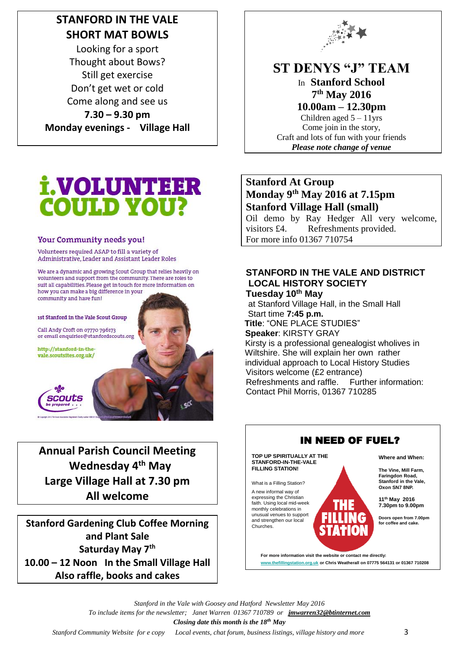# **STANFORD IN THE VALE SHORT MAT BOWLS**

Looking for a sport Thought about Bows? Still get exercise Don't get wet or cold Come along and see us **7.30 – 9.30 pm Monday evenings - Village Hall**



# **ST DENYS "J" TEAM**

In **Stanford School 7 th May 2016** 

**10.00am – 12.30pm** Children aged  $5 - 11$ yrs Come join in the story, Craft and lots of fun with your friends *Please note change of venue*

# **i.VOLUNTEER COULD YOU?**

## Your Community needs you!

Volunteers required ASAP to fill a variety of Administrative, Leader and Assistant Leader Roles

We are a dynamic and growing Scout Group that relies heavily on volunteers and support from the community. There are roles to suit all capabilities. Please get in touch for more information on how you can make a big difference in your community and have fun!

1st Stanford in the Vale Scout Group

Call Andy Croft on 07770 796173 or email enquiries@stanfordscouts.org

http://stanford-in-thevale.scoutsites.org.uk/



**Annual Parish Council Meeting Wednesday 4th May Large Village Hall at 7.30 pm All welcome**

**Stanford Gardening Club Coffee Morning and Plant Sale Saturday May 7th 10.00 – 12 Noon In the Small Village Hall Also raffle, books and cakes**

## **Stanford At Group Monday 9th May 2016 at 7.15pm Stanford Village Hall (small)**

Oil demo by Ray Hedger All very welcome, visitors £4. Refreshments provided. For more info 01367 710754

### **STANFORD IN THE VALE AND DISTRICT LOCAL HISTORY SOCIETY Tuesday 10 th May**

at Stanford Village Hall, in the Small Hall Start time **7:45 p.m. Title**: "ONE PLACE STUDIES" **Speaker**: KIRSTY GRAY Kirsty is a professional genealogist wholives in Wiltshire. She will explain her own rather individual approach to Local History Studies Visitors welcome (£2 entrance) Refreshments and raffle. Further information: Contact Phil Morris, 01367 710285



*Stanford in the Vale with Goosey and Hatford Newsletter May 2016 To include items for the newsletter; Janet Warren 01367 710789 or [jmwarren32@btinternet.com](mailto:jmwarren32@btinternet.com) Closing date this month is the 18th May*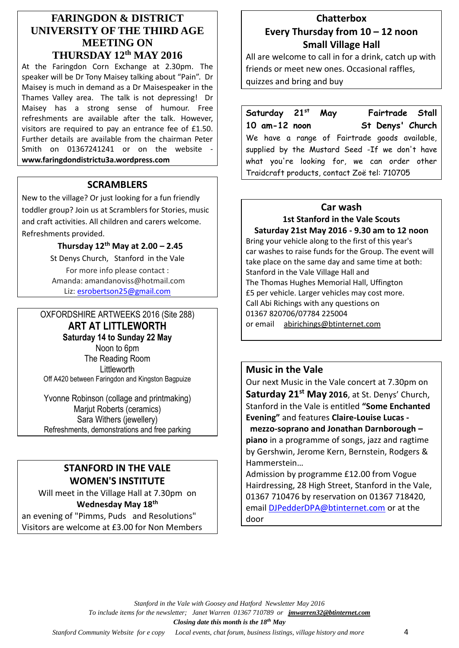## **FARINGDON & DISTRICT UNIVERSITY OF THE THIRD AGE MEETING ON THURSDAY 12th MAY 2016**

At the Faringdon Corn Exchange at 2.30pm. The speaker will be Dr Tony Maisey talking about "Pain". Dr Maisey is much in demand as a Dr Maisespeaker in the Thames Valley area. The talk is not depressing! Dr Maisey has a strong sense of humour. Free refreshments are available after the talk. However, visitors are required to pay an entrance fee of £1.50. Further details are available from the chairman Peter Smith on 01367241241 or on the website **www.faringdondistrictu3a.wordpress.com**

#### **SCRAMBLERS**

New to the village? Or just looking for a fun friendly toddler group? Join us at Scramblers for Stories, music and craft activities. All children and carers welcome. Refreshments provided.

## **Thursday 12 th May at 2.00 – 2.45**

St Denys Church, Stanford in the Vale For more info please contact : Amanda: amandanoviss@hotmail.com Liz: [esrobertson25@gmail.com](mailto:esrobertson25@gmail.com)

## OXFORDSHIRE ARTWEEKS 2016 (Site 288) **ART AT LITTLEWORTH Saturday 14 to Sunday 22 May**

Noon to 6pm The Reading Room **Littleworth** Off A420 between Faringdon and Kingston Bagpuize

Yvonne Robinson (collage and printmaking) Mariut Roberts (ceramics) Sara Withers (jewellery) Refreshments, demonstrations and free parking

## **STANFORD IN THE VALE WOMEN'S INSTITUTE**

Will meet in the Village Hall at 7.30pm on **Wednesday May 18th**

an evening of "Pimms, Puds and Resolutions" Visitors are welcome at £3.00 for Non Members

## **Chatterbox Every Thursday from 10 – 12 noon Small Village Hall**

All are welcome to call in for a drink, catch up with friends or meet new ones. Occasional raffles, quizzes and bring and buy

**Saturday 21st May Fairtrade Stall 10 am-12 noon St Denys' Church** We have a range of Fairtrade goods available, supplied by the Mustard Seed -If we don't have what you're looking for, we can order other Traidcraft products, contact Zoë tel: 710705

## **Car wash**

**1st Stanford in the Vale Scouts Saturday 21st May 2016 - 9.30 am to 12 noon** Bring your vehicle along to the first of this year's car washes to raise funds for the Group. The event will take place on the same day and same time at both: Stanford in the Vale Village Hall and The Thomas Hughes Memorial Hall, Uffington £5 per vehicle. Larger vehicles may cost more. Call Abi Richings with any questions on 01367 820706/07784 225004 or email [abirichings@btinternet.com](mailto:abirichings@btinternet.com)

## **Music in the Vale**

Our next Music in the Vale concert at 7.30pm on **Saturday 21st May 2016**, at St. Denys' Church, Stanford in the Vale is entitled **"Some Enchanted Evening"** and features **Claire-Louise Lucas mezzo-soprano and Jonathan Darnborough – piano** in a programme of songs, jazz and ragtime by Gershwin, Jerome Kern, Bernstein, Rodgers & Hammerstein…

Admission by programme £12.00 from Vogue Hairdressing, 28 High Street, Stanford in the Vale, 01367 710476 by reservation on 01367 718420, email [DJPedderDPA@btinternet.com](mailto:DJPedderDPA@btinternet.com) or at the door

*Stanford in the Vale with Goosey and Hatford Newsletter May 2016*

*To include items for the newsletter; Janet Warren 01367 710789 or [jmwarren32@btinternet.com](mailto:jmwarren32@btinternet.com)*

*Closing date this month is the 18th May*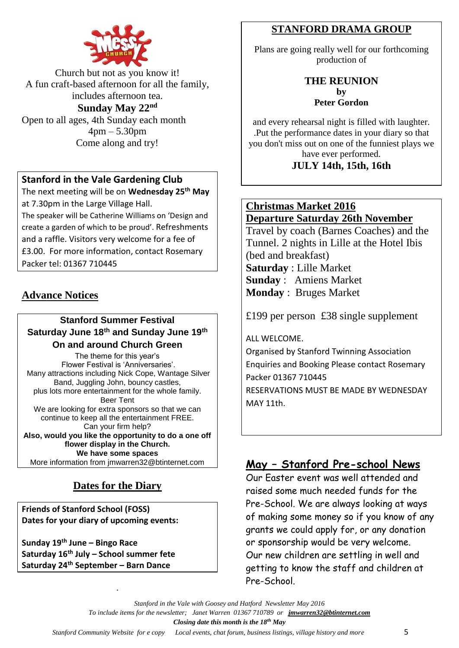

Church but not as you know it! A fun craft-based afternoon for all the family, includes afternoon tea. **Sunday May 22nd**

Open to all ages, 4th Sunday each month 4pm – 5.30pm Come along and try!

## **Stanford in the Vale Gardening Club**

The next meeting will be on **Wednesday 25th May** at 7.30pm in the Large Village Hall.

The speaker will be Catherine Williams on 'Design and create a garden of which to be proud'. Refreshments and a raffle. Visitors very welcome for a fee of £3.00. For more information, contact Rosemary Packer tel: 01367 710445

## **Advance Notices**

## **Stanford Summer Festival Saturday June 18th and Sunday June 19th On and around Church Green**

The theme for this year's Flower Festival is 'Anniversaries'. Many attractions including Nick Cope, Wantage Silver Band, Juggling John, bouncy castles, plus lots more entertainment for the whole family. Beer Tent We are looking for extra sponsors so that we can continue to keep all the entertainment FREE. Can your firm help? **Also, would you like the opportunity to do a one off flower display in the Church. We have some spaces** More information from jmwarren32@btinternet.com

## **Dates for the Diary**

.

**Friends of Stanford School (FOSS) Dates for your diary of upcoming events:**

**Sunday 19th June – Bingo Race Saturday 16th July – School summer fete Saturday 24th September – Barn Dance**

## **STANFORD DRAMA GROUP**

Plans are going really well for our forthcoming production of

## **THE REUNION by Peter Gordon**

and every rehearsal night is filled with laughter. .Put the performance dates in your diary so that you don't miss out on one of the funniest plays we have ever performed. **JULY 14th, 15th, 16th**

## **Christmas Market 2016 Departure Saturday 26th November**

Travel by coach (Barnes Coaches) and the Tunnel. 2 nights in Lille at the Hotel Ibis (bed and breakfast) **Saturday** : Lille Market **Sunday** : Amiens Market **Monday** : Bruges Market

£199 per person £38 single supplement

ALL WELCOME.

Organised by Stanford Twinning Association Enquiries and Booking Please contact Rosemary Packer 01367 710445 RESERVATIONS MUST BE MADE BY WEDNESDAY MAY 11th.

## **May – Stanford Pre-school News**

Our Easter event was well attended and raised some much needed funds for the Pre-School. We are always looking at ways of making some money so if you know of any grants we could apply for, or any donation or sponsorship would be very welcome. Our new children are settling in well and getting to know the staff and children at Pre-School.

```
Stanford in the Vale with Goosey and Hatford Newsletter May 2016
```
*To include items for the newsletter; Janet Warren 01367 710789 or [jmwarren32@btinternet.com](mailto:jmwarren32@btinternet.com)*

*Closing date this month is the 18th May*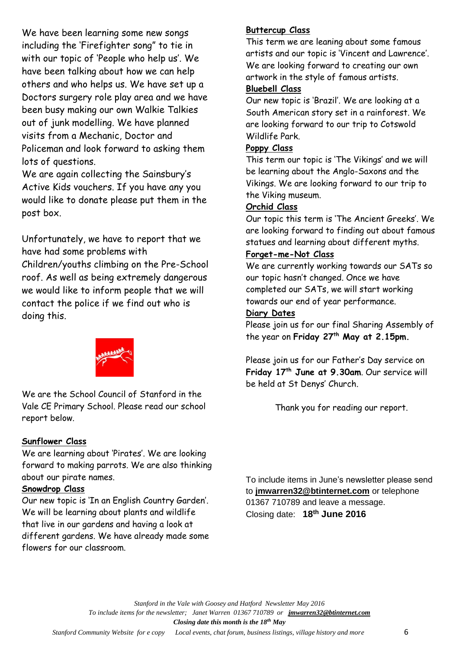We have been learning some new songs including the 'Firefighter song" to tie in with our topic of 'People who help us'. We have been talking about how we can help others and who helps us. We have set up a Doctors surgery role play area and we have been busy making our own Walkie Talkies out of junk modelling. We have planned visits from a Mechanic, Doctor and Policeman and look forward to asking them lots of questions.

We are again collecting the Sainsbury's Active Kids vouchers. If you have any you would like to donate please put them in the post box.

Unfortunately, we have to report that we have had some problems with

Children/youths climbing on the Pre-School roof. As well as being extremely dangerous we would like to inform people that we will contact the police if we find out who is doing this.

We are the School Council of Stanford in the Vale CE Primary School. Please read our school report below.

#### **Sunflower Class**

We are learning about 'Pirates'. We are looking forward to making parrots. We are also thinking about our pirate names.

#### **Snowdrop Class**

Our new topic is 'In an English Country Garden'. We will be learning about plants and wildlife that live in our gardens and having a look at different gardens. We have already made some flowers for our classroom.

## **Buttercup Class**

This term we are leaning about some famous artists and our topic is 'Vincent and Lawrence'. We are looking forward to creating our own artwork in the style of famous artists.

#### **Bluebell Class**

Our new topic is 'Brazil'. We are looking at a South American story set in a rainforest. We are looking forward to our trip to Cotswold Wildlife Park.

#### **Poppy Class**

This term our topic is 'The Vikings' and we will be learning about the Anglo-Saxons and the Vikings. We are looking forward to our trip to the Viking museum.

### **Orchid Class**

Our topic this term is 'The Ancient Greeks'. We are looking forward to finding out about famous statues and learning about different myths.

#### **Forget-me-Not Class**

We are currently working towards our SATs so our topic hasn't changed. Once we have completed our SATs, we will start working towards our end of year performance.

#### **Diary Dates**

Please join us for our final Sharing Assembly of the year on **Friday 27th May at 2.15pm.** 

Please join us for our Father's Day service on **Friday 17th June at 9.30am**. Our service will be held at St Denys' Church.

Thank you for reading our report.

To include items in June's newsletter please send to **[jmwarren32@btinternet.com](mailto:jmwarren32@btinternet.com)** or telephone 01367 710789 and leave a message. Closing date: **18th June 2016** 

*Stanford in the Vale with Goosey and Hatford Newsletter May 2016 To include items for the newsletter; Janet Warren 01367 710789 or [jmwarren32@btinternet.com](mailto:jmwarren32@btinternet.com) Closing date this month is the 18th May*